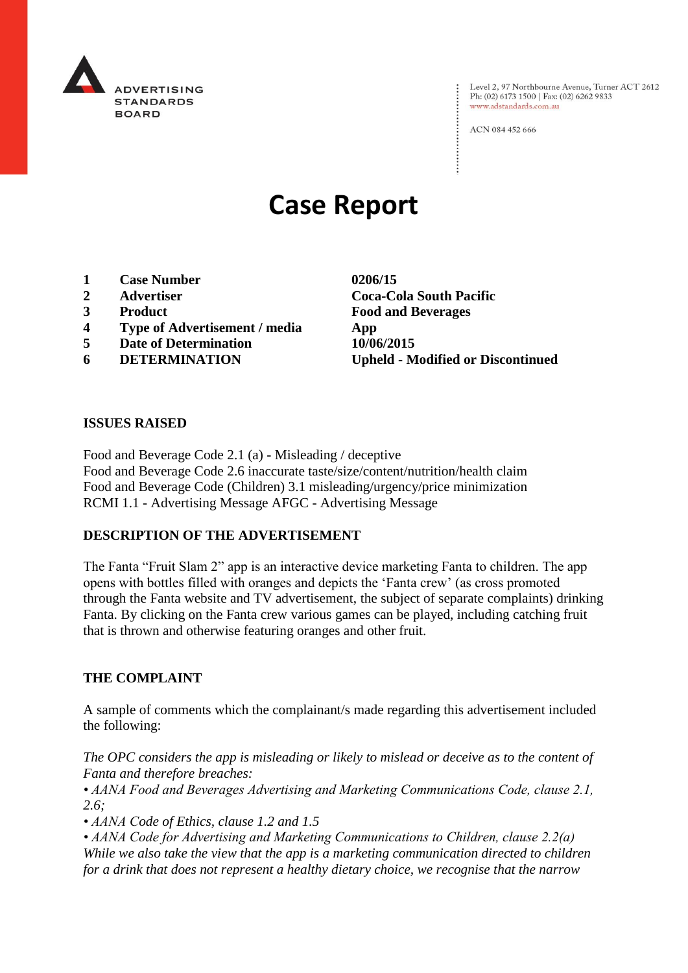

Level 2, 97 Northbourne Avenue, Turner ACT 2612 Ph: (02) 6173 1500 | Fax: (02) 6262 9833 www.adstandards.com.au

ACN 084 452 666

# **Case Report**

- **1 Case Number 0206/15**
- 
- 
- **4 Type of Advertisement / media App**
- **5 Date of Determination 10/06/2015**
- 

**2 Advertiser Coca-Cola South Pacific 3 Product Food and Beverages 6 DETERMINATION Upheld - Modified or Discontinued**

### **ISSUES RAISED**

Food and Beverage Code 2.1 (a) - Misleading / deceptive Food and Beverage Code 2.6 inaccurate taste/size/content/nutrition/health claim Food and Beverage Code (Children) 3.1 misleading/urgency/price minimization RCMI 1.1 - Advertising Message AFGC - Advertising Message

## **DESCRIPTION OF THE ADVERTISEMENT**

The Fanta "Fruit Slam 2" app is an interactive device marketing Fanta to children. The app opens with bottles filled with oranges and depicts the 'Fanta crew' (as cross promoted through the Fanta website and TV advertisement, the subject of separate complaints) drinking Fanta. By clicking on the Fanta crew various games can be played, including catching fruit that is thrown and otherwise featuring oranges and other fruit.

#### **THE COMPLAINT**

A sample of comments which the complainant/s made regarding this advertisement included the following:

*The OPC considers the app is misleading or likely to mislead or deceive as to the content of Fanta and therefore breaches:*

*• AANA Food and Beverages Advertising and Marketing Communications Code, clause 2.1, 2.6;*

*• AANA Code of Ethics, clause 1.2 and 1.5*

*• AANA Code for Advertising and Marketing Communications to Children, clause 2.2(a) While we also take the view that the app is a marketing communication directed to children for a drink that does not represent a healthy dietary choice, we recognise that the narrow*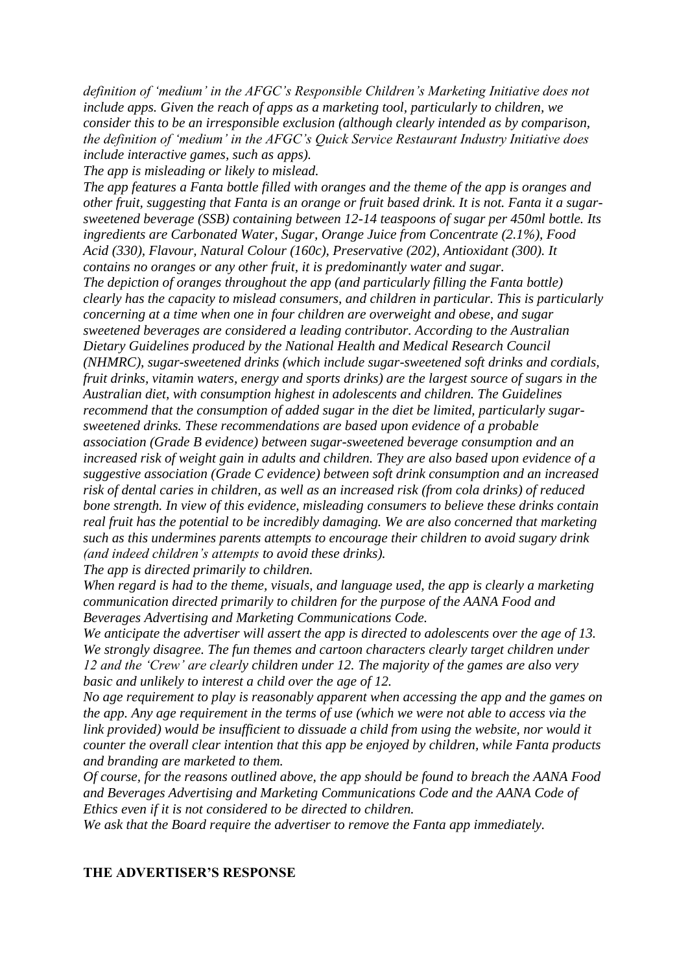*definition of 'medium' in the AFGC's Responsible Children's Marketing Initiative does not include apps. Given the reach of apps as a marketing tool, particularly to children, we consider this to be an irresponsible exclusion (although clearly intended as by comparison, the definition of 'medium' in the AFGC's Quick Service Restaurant Industry Initiative does include interactive games, such as apps).*

*The app is misleading or likely to mislead.*

*The app features a Fanta bottle filled with oranges and the theme of the app is oranges and other fruit, suggesting that Fanta is an orange or fruit based drink. It is not. Fanta it a sugarsweetened beverage (SSB) containing between 12-14 teaspoons of sugar per 450ml bottle. Its ingredients are Carbonated Water, Sugar, Orange Juice from Concentrate (2.1%), Food Acid (330), Flavour, Natural Colour (160c), Preservative (202), Antioxidant (300). It contains no oranges or any other fruit, it is predominantly water and sugar. The depiction of oranges throughout the app (and particularly filling the Fanta bottle) clearly has the capacity to mislead consumers, and children in particular. This is particularly concerning at a time when one in four children are overweight and obese, and sugar sweetened beverages are considered a leading contributor. According to the Australian Dietary Guidelines produced by the National Health and Medical Research Council (NHMRC), sugar-sweetened drinks (which include sugar-sweetened soft drinks and cordials, fruit drinks, vitamin waters, energy and sports drinks) are the largest source of sugars in the Australian diet, with consumption highest in adolescents and children. The Guidelines recommend that the consumption of added sugar in the diet be limited, particularly sugarsweetened drinks. These recommendations are based upon evidence of a probable association (Grade B evidence) between sugar-sweetened beverage consumption and an increased risk of weight gain in adults and children. They are also based upon evidence of a suggestive association (Grade C evidence) between soft drink consumption and an increased risk of dental caries in children, as well as an increased risk (from cola drinks) of reduced bone strength. In view of this evidence, misleading consumers to believe these drinks contain real fruit has the potential to be incredibly damaging. We are also concerned that marketing such as this undermines parents attempts to encourage their children to avoid sugary drink (and indeed children's attempts to avoid these drinks).*

*The app is directed primarily to children.*

*When regard is had to the theme, visuals, and language used, the app is clearly a marketing communication directed primarily to children for the purpose of the AANA Food and Beverages Advertising and Marketing Communications Code.*

*We anticipate the advertiser will assert the app is directed to adolescents over the age of 13. We strongly disagree. The fun themes and cartoon characters clearly target children under 12 and the 'Crew' are clearly children under 12. The majority of the games are also very basic and unlikely to interest a child over the age of 12.*

*No age requirement to play is reasonably apparent when accessing the app and the games on the app. Any age requirement in the terms of use (which we were not able to access via the link provided) would be insufficient to dissuade a child from using the website, nor would it counter the overall clear intention that this app be enjoyed by children, while Fanta products and branding are marketed to them.*

*Of course, for the reasons outlined above, the app should be found to breach the AANA Food and Beverages Advertising and Marketing Communications Code and the AANA Code of Ethics even if it is not considered to be directed to children.*

*We ask that the Board require the advertiser to remove the Fanta app immediately.*

#### **THE ADVERTISER'S RESPONSE**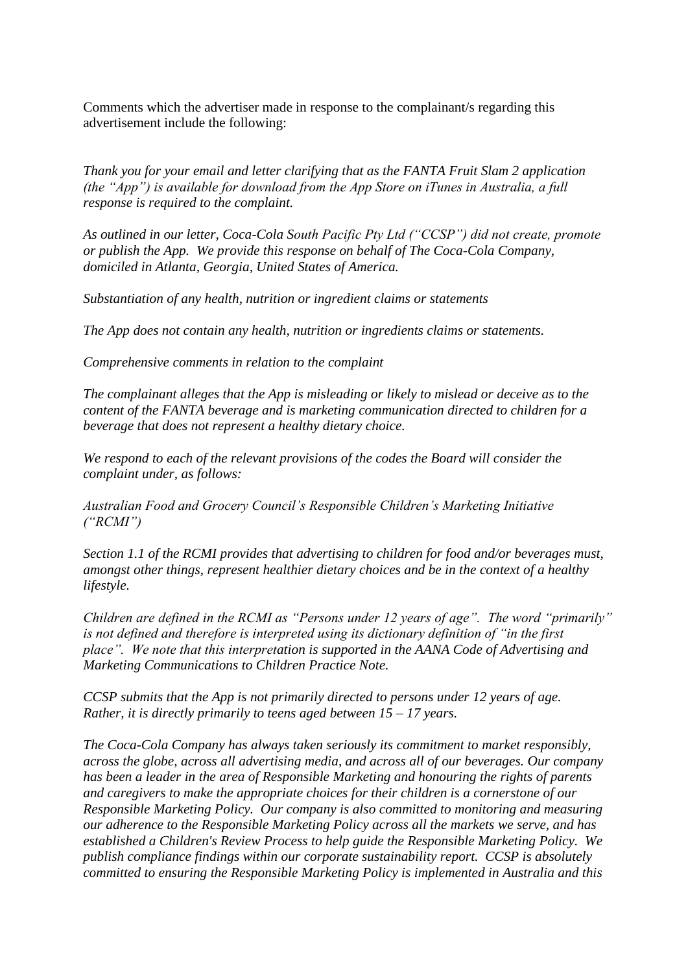Comments which the advertiser made in response to the complainant/s regarding this advertisement include the following:

*Thank you for your email and letter clarifying that as the FANTA Fruit Slam 2 application (the "App") is available for download from the App Store on iTunes in Australia, a full response is required to the complaint.*

*As outlined in our letter, Coca-Cola South Pacific Pty Ltd ("CCSP") did not create, promote or publish the App. We provide this response on behalf of The Coca-Cola Company, domiciled in Atlanta, Georgia, United States of America.*

*Substantiation of any health, nutrition or ingredient claims or statements*

*The App does not contain any health, nutrition or ingredients claims or statements.*

*Comprehensive comments in relation to the complaint*

*The complainant alleges that the App is misleading or likely to mislead or deceive as to the content of the FANTA beverage and is marketing communication directed to children for a beverage that does not represent a healthy dietary choice.* 

*We respond to each of the relevant provisions of the codes the Board will consider the complaint under, as follows:*

*Australian Food and Grocery Council's Responsible Children's Marketing Initiative ("RCMI")* 

*Section 1.1 of the RCMI provides that advertising to children for food and/or beverages must, amongst other things, represent healthier dietary choices and be in the context of a healthy lifestyle.*

*Children are defined in the RCMI as "Persons under 12 years of age". The word "primarily" is not defined and therefore is interpreted using its dictionary definition of "in the first place". We note that this interpretation is supported in the AANA Code of Advertising and Marketing Communications to Children Practice Note.*

*CCSP submits that the App is not primarily directed to persons under 12 years of age. Rather, it is directly primarily to teens aged between 15 – 17 years.*

*The Coca-Cola Company has always taken seriously its commitment to market responsibly, across the globe, across all advertising media, and across all of our beverages. Our company has been a leader in the area of Responsible Marketing and honouring the rights of parents and caregivers to make the appropriate choices for their children is a cornerstone of our Responsible Marketing Policy. Our company is also committed to monitoring and measuring our adherence to the Responsible Marketing Policy across all the markets we serve, and has established a Children's Review Process to help guide the Responsible Marketing Policy. We publish compliance findings within our corporate sustainability report. CCSP is absolutely committed to ensuring the Responsible Marketing Policy is implemented in Australia and this*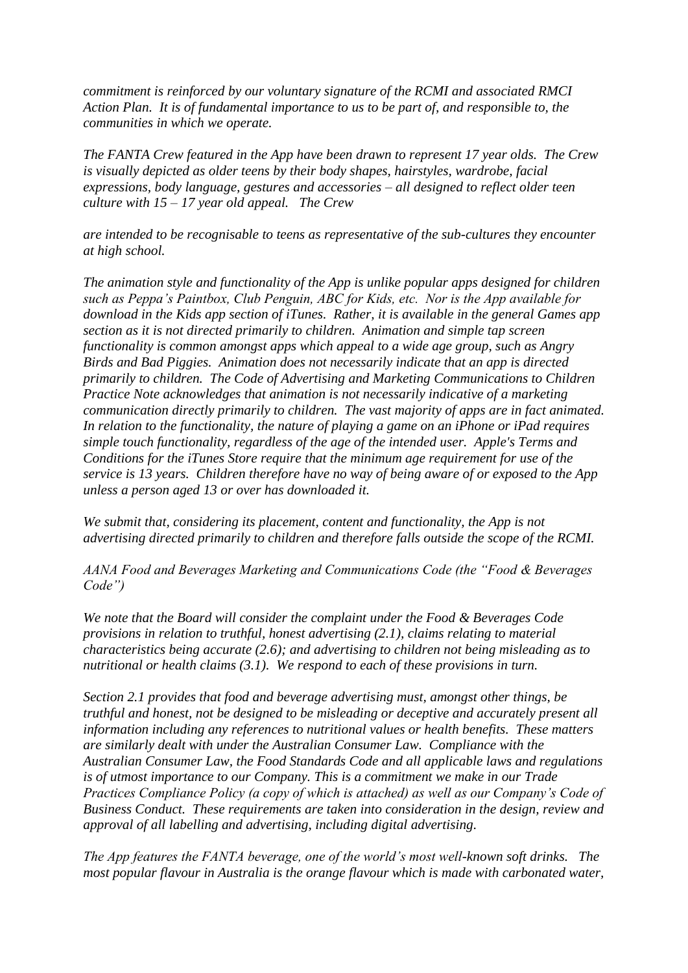*commitment is reinforced by our voluntary signature of the RCMI and associated RMCI Action Plan. It is of fundamental importance to us to be part of, and responsible to, the communities in which we operate.*

*The FANTA Crew featured in the App have been drawn to represent 17 year olds. The Crew is visually depicted as older teens by their body shapes, hairstyles, wardrobe, facial expressions, body language, gestures and accessories – all designed to reflect older teen culture with 15 – 17 year old appeal. The Crew* 

*are intended to be recognisable to teens as representative of the sub-cultures they encounter at high school.* 

*The animation style and functionality of the App is unlike popular apps designed for children such as Peppa's Paintbox, Club Penguin, ABC for Kids, etc. Nor is the App available for download in the Kids app section of iTunes. Rather, it is available in the general Games app section as it is not directed primarily to children. Animation and simple tap screen functionality is common amongst apps which appeal to a wide age group, such as Angry Birds and Bad Piggies. Animation does not necessarily indicate that an app is directed primarily to children. The Code of Advertising and Marketing Communications to Children Practice Note acknowledges that animation is not necessarily indicative of a marketing communication directly primarily to children. The vast majority of apps are in fact animated. In relation to the functionality, the nature of playing a game on an iPhone or iPad requires simple touch functionality, regardless of the age of the intended user. Apple's Terms and Conditions for the iTunes Store require that the minimum age requirement for use of the service is 13 years. Children therefore have no way of being aware of or exposed to the App unless a person aged 13 or over has downloaded it.* 

*We submit that, considering its placement, content and functionality, the App is not advertising directed primarily to children and therefore falls outside the scope of the RCMI.* 

*AANA Food and Beverages Marketing and Communications Code (the "Food & Beverages Code")*

*We note that the Board will consider the complaint under the Food & Beverages Code provisions in relation to truthful, honest advertising (2.1), claims relating to material characteristics being accurate (2.6); and advertising to children not being misleading as to nutritional or health claims (3.1). We respond to each of these provisions in turn.*

*Section 2.1 provides that food and beverage advertising must, amongst other things, be truthful and honest, not be designed to be misleading or deceptive and accurately present all information including any references to nutritional values or health benefits. These matters are similarly dealt with under the Australian Consumer Law. Compliance with the Australian Consumer Law, the Food Standards Code and all applicable laws and regulations is of utmost importance to our Company. This is a commitment we make in our Trade Practices Compliance Policy (a copy of which is attached) as well as our Company's Code of Business Conduct. These requirements are taken into consideration in the design, review and approval of all labelling and advertising, including digital advertising.* 

*The App features the FANTA beverage, one of the world's most well-known soft drinks. The most popular flavour in Australia is the orange flavour which is made with carbonated water,*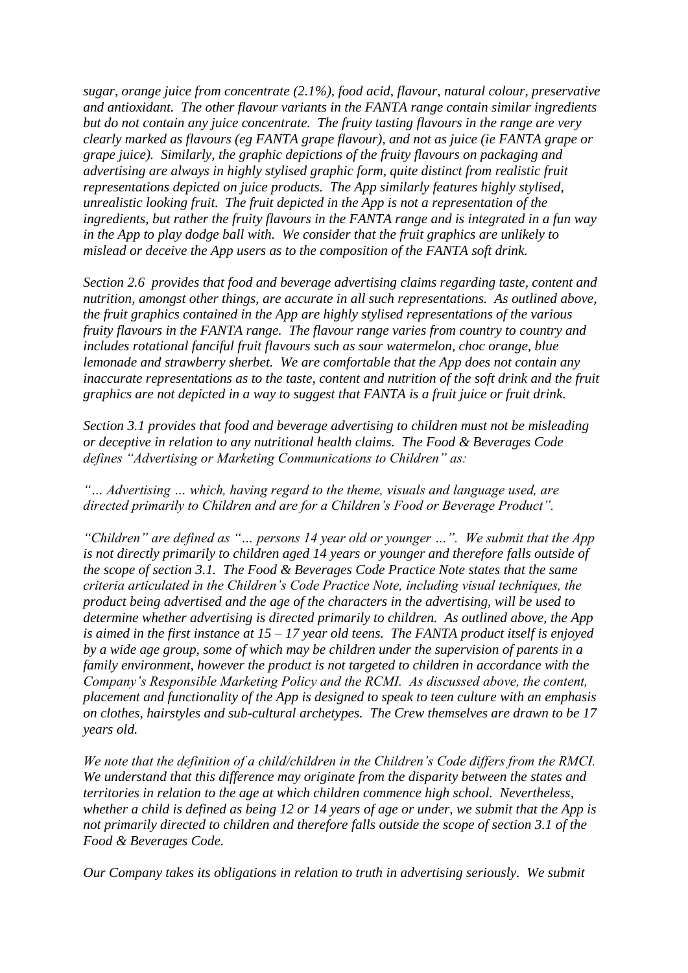*sugar, orange juice from concentrate (2.1%), food acid, flavour, natural colour, preservative and antioxidant. The other flavour variants in the FANTA range contain similar ingredients but do not contain any juice concentrate. The fruity tasting flavours in the range are very clearly marked as flavours (eg FANTA grape flavour), and not as juice (ie FANTA grape or grape juice). Similarly, the graphic depictions of the fruity flavours on packaging and advertising are always in highly stylised graphic form, quite distinct from realistic fruit representations depicted on juice products. The App similarly features highly stylised, unrealistic looking fruit. The fruit depicted in the App is not a representation of the ingredients, but rather the fruity flavours in the FANTA range and is integrated in a fun way in the App to play dodge ball with. We consider that the fruit graphics are unlikely to mislead or deceive the App users as to the composition of the FANTA soft drink.*

*Section 2.6 provides that food and beverage advertising claims regarding taste, content and nutrition, amongst other things, are accurate in all such representations. As outlined above, the fruit graphics contained in the App are highly stylised representations of the various fruity flavours in the FANTA range. The flavour range varies from country to country and includes rotational fanciful fruit flavours such as sour watermelon, choc orange, blue lemonade and strawberry sherbet. We are comfortable that the App does not contain any inaccurate representations as to the taste, content and nutrition of the soft drink and the fruit graphics are not depicted in a way to suggest that FANTA is a fruit juice or fruit drink.*

*Section 3.1 provides that food and beverage advertising to children must not be misleading or deceptive in relation to any nutritional health claims. The Food & Beverages Code defines "Advertising or Marketing Communications to Children" as:*

*"… Advertising … which, having regard to the theme, visuals and language used, are directed primarily to Children and are for a Children's Food or Beverage Product".*

*"Children" are defined as "… persons 14 year old or younger …". We submit that the App is not directly primarily to children aged 14 years or younger and therefore falls outside of the scope of section 3.1. The Food & Beverages Code Practice Note states that the same criteria articulated in the Children's Code Practice Note, including visual techniques, the product being advertised and the age of the characters in the advertising, will be used to determine whether advertising is directed primarily to children. As outlined above, the App is aimed in the first instance at 15 – 17 year old teens. The FANTA product itself is enjoyed by a wide age group, some of which may be children under the supervision of parents in a family environment, however the product is not targeted to children in accordance with the Company's Responsible Marketing Policy and the RCMI. As discussed above, the content, placement and functionality of the App is designed to speak to teen culture with an emphasis on clothes, hairstyles and sub-cultural archetypes. The Crew themselves are drawn to be 17 years old.*

*We note that the definition of a child/children in the Children's Code differs from the RMCI. We understand that this difference may originate from the disparity between the states and territories in relation to the age at which children commence high school. Nevertheless, whether a child is defined as being 12 or 14 years of age or under, we submit that the App is not primarily directed to children and therefore falls outside the scope of section 3.1 of the Food & Beverages Code.* 

*Our Company takes its obligations in relation to truth in advertising seriously. We submit*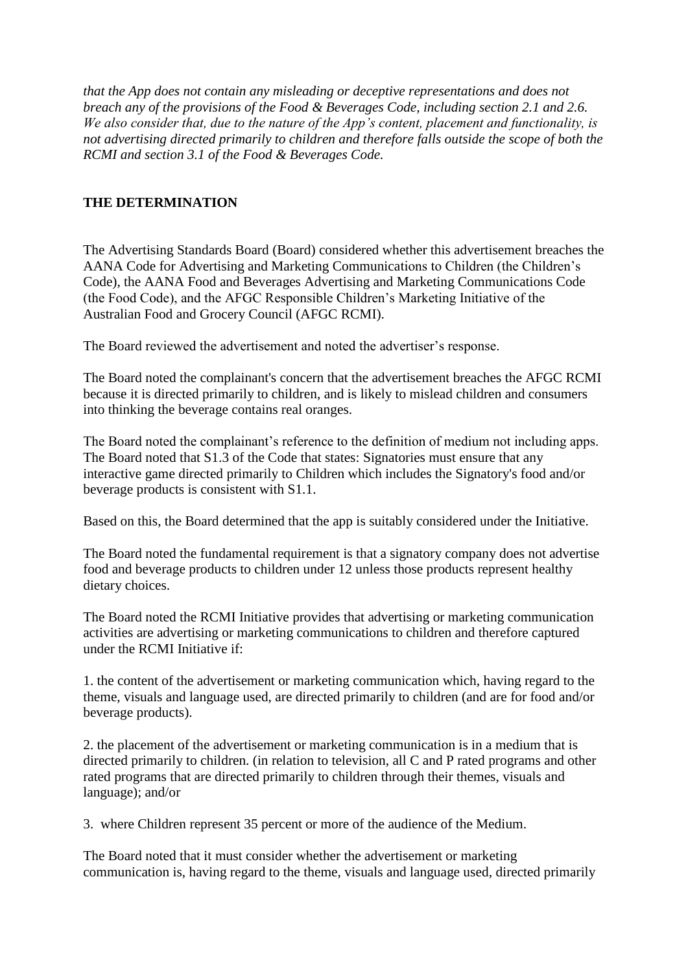*that the App does not contain any misleading or deceptive representations and does not breach any of the provisions of the Food & Beverages Code, including section 2.1 and 2.6. We also consider that, due to the nature of the App's content, placement and functionality, is not advertising directed primarily to children and therefore falls outside the scope of both the RCMI and section 3.1 of the Food & Beverages Code.*

# **THE DETERMINATION**

The Advertising Standards Board (Board) considered whether this advertisement breaches the AANA Code for Advertising and Marketing Communications to Children (the Children's Code), the AANA Food and Beverages Advertising and Marketing Communications Code (the Food Code), and the AFGC Responsible Children's Marketing Initiative of the Australian Food and Grocery Council (AFGC RCMI).

The Board reviewed the advertisement and noted the advertiser's response.

The Board noted the complainant's concern that the advertisement breaches the AFGC RCMI because it is directed primarily to children, and is likely to mislead children and consumers into thinking the beverage contains real oranges.

The Board noted the complainant's reference to the definition of medium not including apps. The Board noted that S1.3 of the Code that states: Signatories must ensure that any interactive game directed primarily to Children which includes the Signatory's food and/or beverage products is consistent with S1.1.

Based on this, the Board determined that the app is suitably considered under the Initiative.

The Board noted the fundamental requirement is that a signatory company does not advertise food and beverage products to children under 12 unless those products represent healthy dietary choices.

The Board noted the RCMI Initiative provides that advertising or marketing communication activities are advertising or marketing communications to children and therefore captured under the RCMI Initiative if:

1. the content of the advertisement or marketing communication which, having regard to the theme, visuals and language used, are directed primarily to children (and are for food and/or beverage products).

2. the placement of the advertisement or marketing communication is in a medium that is directed primarily to children. (in relation to television, all C and P rated programs and other rated programs that are directed primarily to children through their themes, visuals and language); and/or

3. where Children represent 35 percent or more of the audience of the Medium.

The Board noted that it must consider whether the advertisement or marketing communication is, having regard to the theme, visuals and language used, directed primarily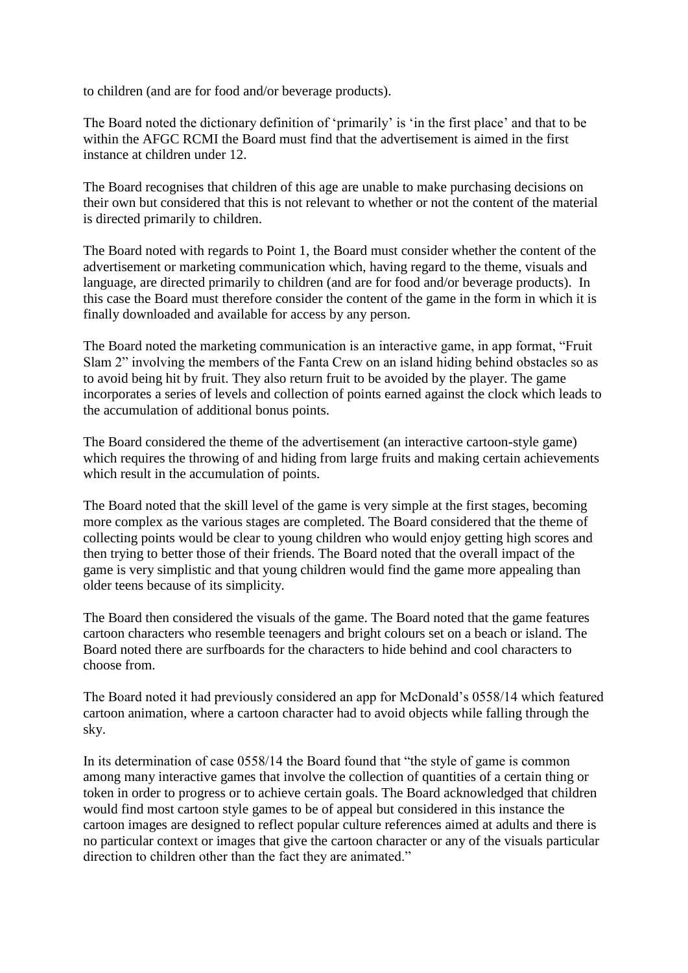to children (and are for food and/or beverage products).

The Board noted the dictionary definition of 'primarily' is 'in the first place' and that to be within the AFGC RCMI the Board must find that the advertisement is aimed in the first instance at children under 12.

The Board recognises that children of this age are unable to make purchasing decisions on their own but considered that this is not relevant to whether or not the content of the material is directed primarily to children.

The Board noted with regards to Point 1, the Board must consider whether the content of the advertisement or marketing communication which, having regard to the theme, visuals and language, are directed primarily to children (and are for food and/or beverage products). In this case the Board must therefore consider the content of the game in the form in which it is finally downloaded and available for access by any person.

The Board noted the marketing communication is an interactive game, in app format, "Fruit Slam 2" involving the members of the Fanta Crew on an island hiding behind obstacles so as to avoid being hit by fruit. They also return fruit to be avoided by the player. The game incorporates a series of levels and collection of points earned against the clock which leads to the accumulation of additional bonus points.

The Board considered the theme of the advertisement (an interactive cartoon-style game) which requires the throwing of and hiding from large fruits and making certain achievements which result in the accumulation of points.

The Board noted that the skill level of the game is very simple at the first stages, becoming more complex as the various stages are completed. The Board considered that the theme of collecting points would be clear to young children who would enjoy getting high scores and then trying to better those of their friends. The Board noted that the overall impact of the game is very simplistic and that young children would find the game more appealing than older teens because of its simplicity.

The Board then considered the visuals of the game. The Board noted that the game features cartoon characters who resemble teenagers and bright colours set on a beach or island. The Board noted there are surfboards for the characters to hide behind and cool characters to choose from.

The Board noted it had previously considered an app for McDonald's 0558/14 which featured cartoon animation, where a cartoon character had to avoid objects while falling through the sky.

In its determination of case 0558/14 the Board found that "the style of game is common among many interactive games that involve the collection of quantities of a certain thing or token in order to progress or to achieve certain goals. The Board acknowledged that children would find most cartoon style games to be of appeal but considered in this instance the cartoon images are designed to reflect popular culture references aimed at adults and there is no particular context or images that give the cartoon character or any of the visuals particular direction to children other than the fact they are animated."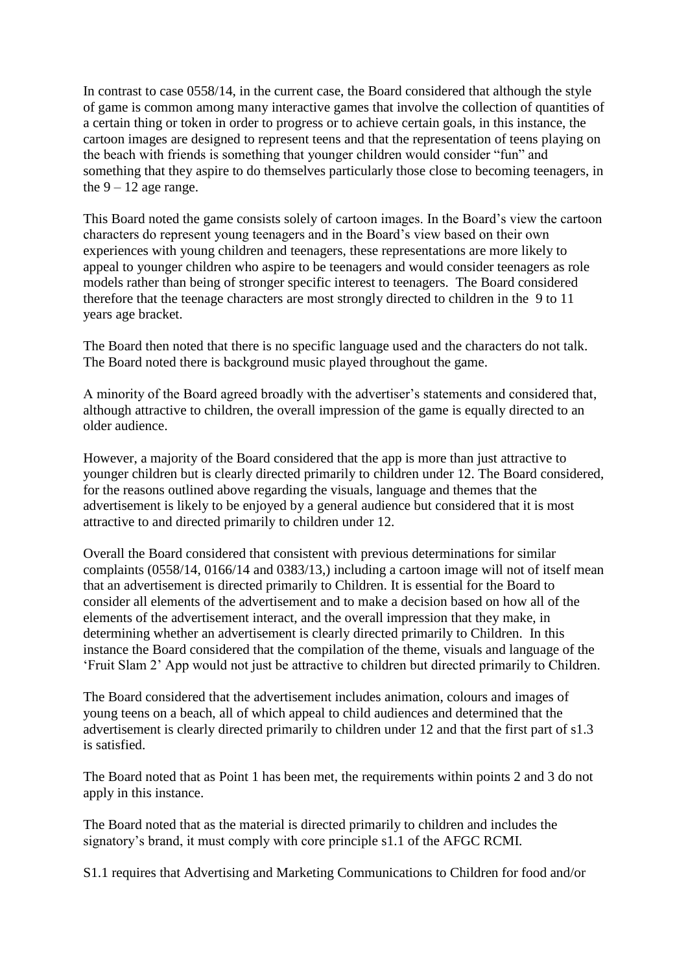In contrast to case 0558/14, in the current case, the Board considered that although the style of game is common among many interactive games that involve the collection of quantities of a certain thing or token in order to progress or to achieve certain goals, in this instance, the cartoon images are designed to represent teens and that the representation of teens playing on the beach with friends is something that younger children would consider "fun" and something that they aspire to do themselves particularly those close to becoming teenagers, in the  $9 - 12$  age range.

This Board noted the game consists solely of cartoon images. In the Board's view the cartoon characters do represent young teenagers and in the Board's view based on their own experiences with young children and teenagers, these representations are more likely to appeal to younger children who aspire to be teenagers and would consider teenagers as role models rather than being of stronger specific interest to teenagers. The Board considered therefore that the teenage characters are most strongly directed to children in the 9 to 11 years age bracket.

The Board then noted that there is no specific language used and the characters do not talk. The Board noted there is background music played throughout the game.

A minority of the Board agreed broadly with the advertiser's statements and considered that, although attractive to children, the overall impression of the game is equally directed to an older audience.

However, a majority of the Board considered that the app is more than just attractive to younger children but is clearly directed primarily to children under 12. The Board considered, for the reasons outlined above regarding the visuals, language and themes that the advertisement is likely to be enjoyed by a general audience but considered that it is most attractive to and directed primarily to children under 12.

Overall the Board considered that consistent with previous determinations for similar complaints (0558/14, 0166/14 and 0383/13,) including a cartoon image will not of itself mean that an advertisement is directed primarily to Children. It is essential for the Board to consider all elements of the advertisement and to make a decision based on how all of the elements of the advertisement interact, and the overall impression that they make, in determining whether an advertisement is clearly directed primarily to Children. In this instance the Board considered that the compilation of the theme, visuals and language of the 'Fruit Slam 2' App would not just be attractive to children but directed primarily to Children.

The Board considered that the advertisement includes animation, colours and images of young teens on a beach, all of which appeal to child audiences and determined that the advertisement is clearly directed primarily to children under 12 and that the first part of s1.3 is satisfied.

The Board noted that as Point 1 has been met, the requirements within points 2 and 3 do not apply in this instance.

The Board noted that as the material is directed primarily to children and includes the signatory's brand, it must comply with core principle s1.1 of the AFGC RCMI.

S1.1 requires that Advertising and Marketing Communications to Children for food and/or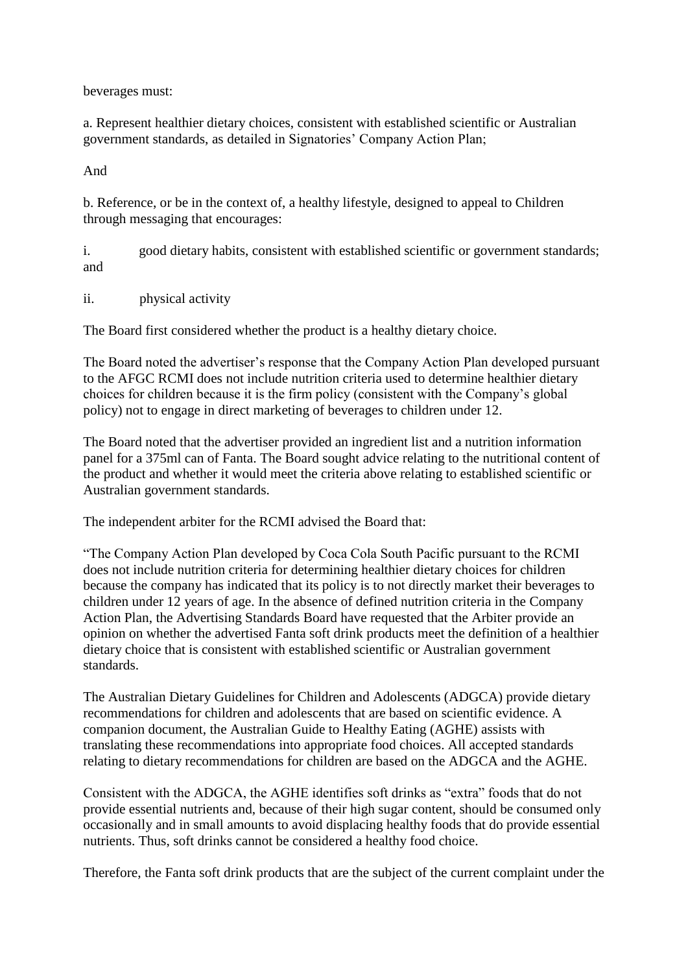beverages must:

a. Represent healthier dietary choices, consistent with established scientific or Australian government standards, as detailed in Signatories' Company Action Plan;

And

b. Reference, or be in the context of, a healthy lifestyle, designed to appeal to Children through messaging that encourages:

i. good dietary habits, consistent with established scientific or government standards; and

ii. physical activity

The Board first considered whether the product is a healthy dietary choice.

The Board noted the advertiser's response that the Company Action Plan developed pursuant to the AFGC RCMI does not include nutrition criteria used to determine healthier dietary choices for children because it is the firm policy (consistent with the Company's global policy) not to engage in direct marketing of beverages to children under 12.

The Board noted that the advertiser provided an ingredient list and a nutrition information panel for a 375ml can of Fanta. The Board sought advice relating to the nutritional content of the product and whether it would meet the criteria above relating to established scientific or Australian government standards.

The independent arbiter for the RCMI advised the Board that:

"The Company Action Plan developed by Coca Cola South Pacific pursuant to the RCMI does not include nutrition criteria for determining healthier dietary choices for children because the company has indicated that its policy is to not directly market their beverages to children under 12 years of age. In the absence of defined nutrition criteria in the Company Action Plan, the Advertising Standards Board have requested that the Arbiter provide an opinion on whether the advertised Fanta soft drink products meet the definition of a healthier dietary choice that is consistent with established scientific or Australian government standards.

The Australian Dietary Guidelines for Children and Adolescents (ADGCA) provide dietary recommendations for children and adolescents that are based on scientific evidence. A companion document, the Australian Guide to Healthy Eating (AGHE) assists with translating these recommendations into appropriate food choices. All accepted standards relating to dietary recommendations for children are based on the ADGCA and the AGHE.

Consistent with the ADGCA, the AGHE identifies soft drinks as "extra" foods that do not provide essential nutrients and, because of their high sugar content, should be consumed only occasionally and in small amounts to avoid displacing healthy foods that do provide essential nutrients. Thus, soft drinks cannot be considered a healthy food choice.

Therefore, the Fanta soft drink products that are the subject of the current complaint under the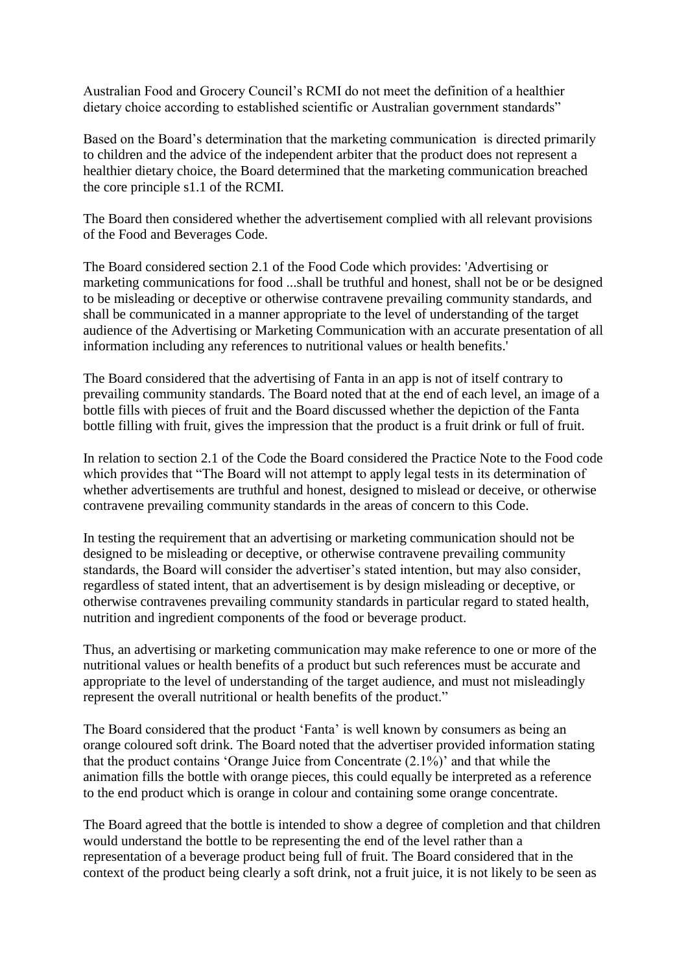Australian Food and Grocery Council's RCMI do not meet the definition of a healthier dietary choice according to established scientific or Australian government standards"

Based on the Board's determination that the marketing communication is directed primarily to children and the advice of the independent arbiter that the product does not represent a healthier dietary choice, the Board determined that the marketing communication breached the core principle s1.1 of the RCMI.

The Board then considered whether the advertisement complied with all relevant provisions of the Food and Beverages Code.

The Board considered section 2.1 of the Food Code which provides: 'Advertising or marketing communications for food ...shall be truthful and honest, shall not be or be designed to be misleading or deceptive or otherwise contravene prevailing community standards, and shall be communicated in a manner appropriate to the level of understanding of the target audience of the Advertising or Marketing Communication with an accurate presentation of all information including any references to nutritional values or health benefits.'

The Board considered that the advertising of Fanta in an app is not of itself contrary to prevailing community standards. The Board noted that at the end of each level, an image of a bottle fills with pieces of fruit and the Board discussed whether the depiction of the Fanta bottle filling with fruit, gives the impression that the product is a fruit drink or full of fruit.

In relation to section 2.1 of the Code the Board considered the Practice Note to the Food code which provides that "The Board will not attempt to apply legal tests in its determination of whether advertisements are truthful and honest, designed to mislead or deceive, or otherwise contravene prevailing community standards in the areas of concern to this Code.

In testing the requirement that an advertising or marketing communication should not be designed to be misleading or deceptive, or otherwise contravene prevailing community standards, the Board will consider the advertiser's stated intention, but may also consider, regardless of stated intent, that an advertisement is by design misleading or deceptive, or otherwise contravenes prevailing community standards in particular regard to stated health, nutrition and ingredient components of the food or beverage product.

Thus, an advertising or marketing communication may make reference to one or more of the nutritional values or health benefits of a product but such references must be accurate and appropriate to the level of understanding of the target audience, and must not misleadingly represent the overall nutritional or health benefits of the product."

The Board considered that the product 'Fanta' is well known by consumers as being an orange coloured soft drink. The Board noted that the advertiser provided information stating that the product contains 'Orange Juice from Concentrate (2.1%)' and that while the animation fills the bottle with orange pieces, this could equally be interpreted as a reference to the end product which is orange in colour and containing some orange concentrate.

The Board agreed that the bottle is intended to show a degree of completion and that children would understand the bottle to be representing the end of the level rather than a representation of a beverage product being full of fruit. The Board considered that in the context of the product being clearly a soft drink, not a fruit juice, it is not likely to be seen as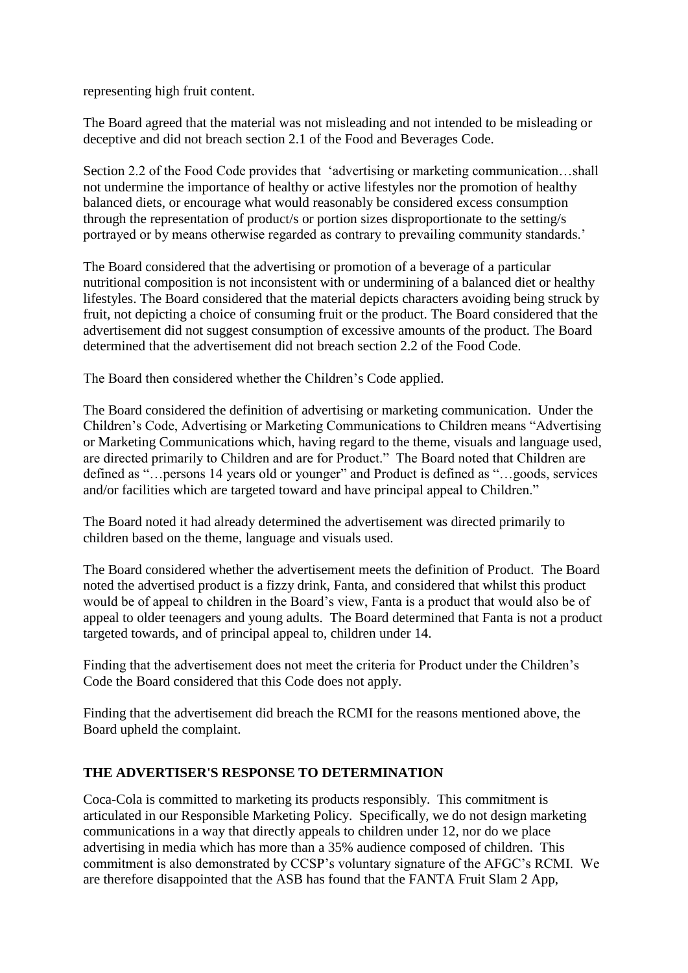representing high fruit content.

The Board agreed that the material was not misleading and not intended to be misleading or deceptive and did not breach section 2.1 of the Food and Beverages Code.

Section 2.2 of the Food Code provides that 'advertising or marketing communication…shall not undermine the importance of healthy or active lifestyles nor the promotion of healthy balanced diets, or encourage what would reasonably be considered excess consumption through the representation of product/s or portion sizes disproportionate to the setting/s portrayed or by means otherwise regarded as contrary to prevailing community standards.'

The Board considered that the advertising or promotion of a beverage of a particular nutritional composition is not inconsistent with or undermining of a balanced diet or healthy lifestyles. The Board considered that the material depicts characters avoiding being struck by fruit, not depicting a choice of consuming fruit or the product. The Board considered that the advertisement did not suggest consumption of excessive amounts of the product. The Board determined that the advertisement did not breach section 2.2 of the Food Code.

The Board then considered whether the Children's Code applied.

The Board considered the definition of advertising or marketing communication. Under the Children's Code, Advertising or Marketing Communications to Children means "Advertising or Marketing Communications which, having regard to the theme, visuals and language used, are directed primarily to Children and are for Product." The Board noted that Children are defined as "…persons 14 years old or younger" and Product is defined as "…goods, services and/or facilities which are targeted toward and have principal appeal to Children."

The Board noted it had already determined the advertisement was directed primarily to children based on the theme, language and visuals used.

The Board considered whether the advertisement meets the definition of Product. The Board noted the advertised product is a fizzy drink, Fanta, and considered that whilst this product would be of appeal to children in the Board's view, Fanta is a product that would also be of appeal to older teenagers and young adults. The Board determined that Fanta is not a product targeted towards, and of principal appeal to, children under 14.

Finding that the advertisement does not meet the criteria for Product under the Children's Code the Board considered that this Code does not apply.

Finding that the advertisement did breach the RCMI for the reasons mentioned above, the Board upheld the complaint.

## **THE ADVERTISER'S RESPONSE TO DETERMINATION**

Coca-Cola is committed to marketing its products responsibly. This commitment is articulated in our Responsible Marketing Policy. Specifically, we do not design marketing communications in a way that directly appeals to children under 12, nor do we place advertising in media which has more than a 35% audience composed of children. This commitment is also demonstrated by CCSP's voluntary signature of the AFGC's RCMI. We are therefore disappointed that the ASB has found that the FANTA Fruit Slam 2 App,